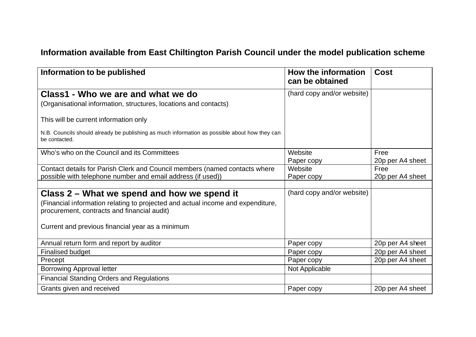## **Information available from East Chiltington Parish Council under the model publication scheme**

| Information to be published                                                                                                    | <b>How the information</b><br>can be obtained | <b>Cost</b>      |
|--------------------------------------------------------------------------------------------------------------------------------|-----------------------------------------------|------------------|
| Class1 - Who we are and what we do                                                                                             | (hard copy and/or website)                    |                  |
| (Organisational information, structures, locations and contacts)                                                               |                                               |                  |
| This will be current information only                                                                                          |                                               |                  |
| N.B. Councils should already be publishing as much information as possible about how they can<br>be contacted.                 |                                               |                  |
| Who's who on the Council and its Committees                                                                                    | Website                                       | Free             |
|                                                                                                                                | Paper copy                                    | 20p per A4 sheet |
| Contact details for Parish Clerk and Council members (named contacts where                                                     | Website                                       | Free             |
| possible with telephone number and email address (if used))                                                                    | Paper copy                                    | 20p per A4 sheet |
|                                                                                                                                |                                               |                  |
| Class 2 – What we spend and how we spend it                                                                                    | (hard copy and/or website)                    |                  |
| (Financial information relating to projected and actual income and expenditure,<br>procurement, contracts and financial audit) |                                               |                  |
| Current and previous financial year as a minimum                                                                               |                                               |                  |
| Annual return form and report by auditor                                                                                       | Paper copy                                    | 20p per A4 sheet |
| <b>Finalised budget</b>                                                                                                        | Paper copy                                    | 20p per A4 sheet |
| Precept                                                                                                                        | Paper copy                                    | 20p per A4 sheet |
| <b>Borrowing Approval letter</b>                                                                                               | Not Applicable                                |                  |
| <b>Financial Standing Orders and Regulations</b>                                                                               |                                               |                  |
| Grants given and received                                                                                                      | Paper copy                                    | 20p per A4 sheet |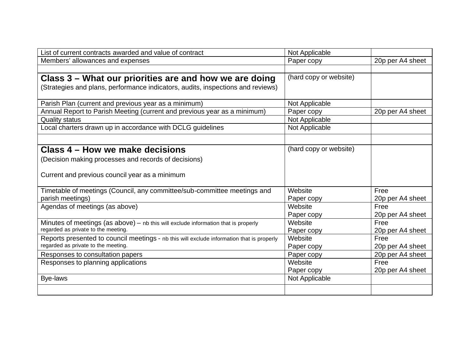| List of current contracts awarded and value of contract                                   | Not Applicable         |                  |
|-------------------------------------------------------------------------------------------|------------------------|------------------|
| Members' allowances and expenses                                                          | Paper copy             | 20p per A4 sheet |
|                                                                                           |                        |                  |
| Class 3 – What our priorities are and how we are doing                                    | (hard copy or website) |                  |
| (Strategies and plans, performance indicators, audits, inspections and reviews)           |                        |                  |
|                                                                                           |                        |                  |
| Parish Plan (current and previous year as a minimum)                                      | Not Applicable         |                  |
| Annual Report to Parish Meeting (current and previous year as a minimum)                  | Paper copy             | 20p per A4 sheet |
| <b>Quality status</b>                                                                     | Not Applicable         |                  |
| Local charters drawn up in accordance with DCLG guidelines                                | Not Applicable         |                  |
|                                                                                           |                        |                  |
|                                                                                           |                        |                  |
| Class 4 – How we make decisions                                                           | (hard copy or website) |                  |
| (Decision making processes and records of decisions)                                      |                        |                  |
|                                                                                           |                        |                  |
| Current and previous council year as a minimum                                            |                        |                  |
|                                                                                           |                        |                  |
| Timetable of meetings (Council, any committee/sub-committee meetings and                  | Website                | Free             |
| parish meetings)                                                                          | Paper copy             | 20p per A4 sheet |
| Agendas of meetings (as above)                                                            | Website                | Free             |
|                                                                                           | Paper copy             | 20p per A4 sheet |
| Minutes of meetings (as $above$ ) – nb this will exclude information that is properly     | Website                | Free             |
| regarded as private to the meeting.                                                       | Paper copy             | 20p per A4 sheet |
| Reports presented to council meetings - nb this will exclude information that is properly | Website                | Free             |
| regarded as private to the meeting.                                                       | Paper copy             | 20p per A4 sheet |
| Responses to consultation papers                                                          | Paper copy             | 20p per A4 sheet |
| Responses to planning applications                                                        | Website                | Free             |
|                                                                                           | Paper copy             | 20p per A4 sheet |
| Bye-laws                                                                                  | Not Applicable         |                  |
|                                                                                           |                        |                  |
|                                                                                           |                        |                  |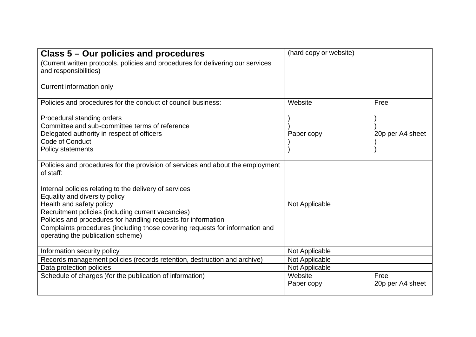| Class 5 – Our policies and procedures<br>(Current written protocols, policies and procedures for delivering our services<br>and responsibilities)<br><b>Current information only</b>                                                                                                                                                                                                                                                                           | (hard copy or website) |                          |
|----------------------------------------------------------------------------------------------------------------------------------------------------------------------------------------------------------------------------------------------------------------------------------------------------------------------------------------------------------------------------------------------------------------------------------------------------------------|------------------------|--------------------------|
| Policies and procedures for the conduct of council business:<br>Procedural standing orders<br>Committee and sub-committee terms of reference<br>Delegated authority in respect of officers<br><b>Code of Conduct</b><br><b>Policy statements</b>                                                                                                                                                                                                               | Website<br>Paper copy  | Free<br>20p per A4 sheet |
| Policies and procedures for the provision of services and about the employment<br>of staff:<br>Internal policies relating to the delivery of services<br>Equality and diversity policy<br>Health and safety policy<br>Recruitment policies (including current vacancies)<br>Policies and procedures for handling requests for information<br>Complaints procedures (including those covering requests for information and<br>operating the publication scheme) | Not Applicable         |                          |
| Information security policy                                                                                                                                                                                                                                                                                                                                                                                                                                    | Not Applicable         |                          |
| Records management policies (records retention, destruction and archive)                                                                                                                                                                                                                                                                                                                                                                                       | Not Applicable         |                          |
| Data protection policies                                                                                                                                                                                                                                                                                                                                                                                                                                       | Not Applicable         |                          |
| Schedule of charges ) for the publication of information)                                                                                                                                                                                                                                                                                                                                                                                                      | Website<br>Paper copy  | Free<br>20p per A4 sheet |
|                                                                                                                                                                                                                                                                                                                                                                                                                                                                |                        |                          |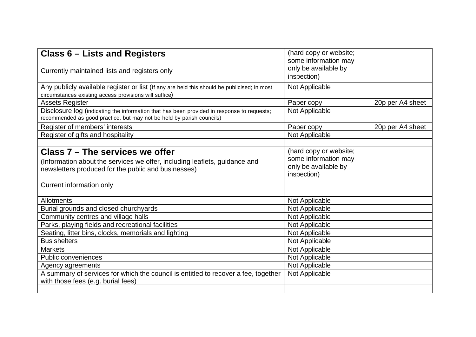| <b>Class 6 – Lists and Registers</b><br>Currently maintained lists and registers only                                                                                                            | (hard copy or website;<br>some information may<br>only be available by<br>inspection) |                  |
|--------------------------------------------------------------------------------------------------------------------------------------------------------------------------------------------------|---------------------------------------------------------------------------------------|------------------|
| Any publicly available register or list (if any are held this should be publicised; in most<br>circumstances existing access provisions will suffice)                                            | Not Applicable                                                                        |                  |
| <b>Assets Register</b>                                                                                                                                                                           | Paper copy                                                                            | 20p per A4 sheet |
| Disclosure log (indicating the information that has been provided in response to requests;<br>recommended as good practice, but may not be held by parish councils)                              | Not Applicable                                                                        |                  |
| Register of members' interests                                                                                                                                                                   | Paper copy                                                                            | 20p per A4 sheet |
| Register of gifts and hospitality                                                                                                                                                                | Not Applicable                                                                        |                  |
|                                                                                                                                                                                                  |                                                                                       |                  |
| Class 7 – The services we offer<br>(Information about the services we offer, including leaflets, guidance and<br>newsletters produced for the public and businesses)<br>Current information only | (hard copy or website;<br>some information may<br>only be available by<br>inspection) |                  |
| <b>Allotments</b>                                                                                                                                                                                | Not Applicable                                                                        |                  |
| Burial grounds and closed churchyards                                                                                                                                                            | Not Applicable                                                                        |                  |
| Community centres and village halls                                                                                                                                                              | Not Applicable                                                                        |                  |
| Parks, playing fields and recreational facilities                                                                                                                                                | Not Applicable                                                                        |                  |
| Seating, litter bins, clocks, memorials and lighting                                                                                                                                             | Not Applicable                                                                        |                  |
| <b>Bus shelters</b>                                                                                                                                                                              | Not Applicable                                                                        |                  |
| <b>Markets</b>                                                                                                                                                                                   | Not Applicable                                                                        |                  |
| <b>Public conveniences</b>                                                                                                                                                                       | Not Applicable                                                                        |                  |
| Agency agreements                                                                                                                                                                                | Not Applicable                                                                        |                  |
| A summary of services for which the council is entitled to recover a fee, together<br>with those fees (e.g. burial fees)                                                                         | Not Applicable                                                                        |                  |
|                                                                                                                                                                                                  |                                                                                       |                  |